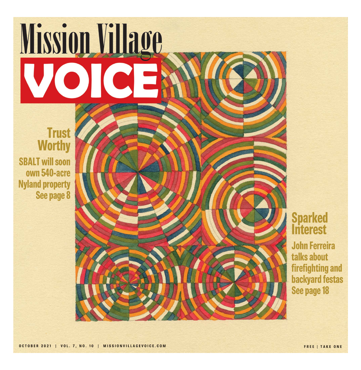# Mission Village VOICE

### **Trust Worthy SBALT will soon** own 540-acre **Nyland property** See page 8



# **Sparked**<br>Interest

**John Ferreira** talks about firefighting and **backyard festas** See page 18

OCTOBER 2021 | VOL. 7, NO. 10 | MISSIONVILLAGEVOICE.COM